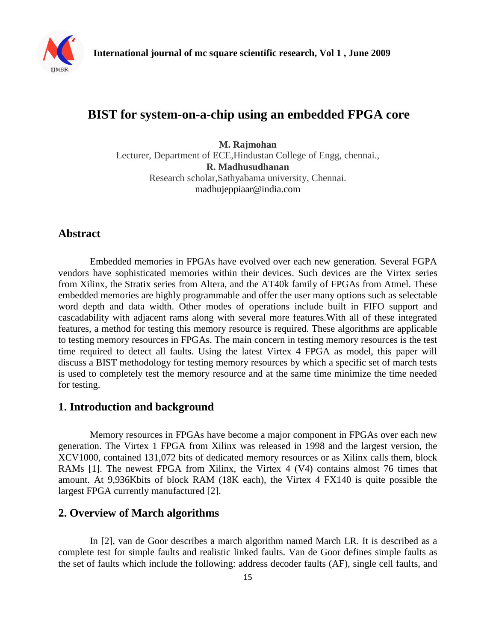

# **BIST for system-on-a-chip using an embedded FPGA core**

**M. Rajmohan** Lecturer, Department of ECE,Hindustan College of Engg, chennai., **R. Madhusudhanan** Research scholar,Sathyabama university, Chennai. [madhujeppiaar@india.com](mailto:madhujeppiaar@india.com)

## **Abstract**

Embedded memories in FPGAs have evolved over each new generation. Several FGPA vendors have sophisticated memories within their devices. Such devices are the Virtex series from Xilinx, the Stratix series from Altera, and the AT40k family of FPGAs from Atmel. These embedded memories are highly programmable and offer the user many options such as selectable word depth and data width. Other modes of operations include built in FIFO support and cascadability with adjacent rams along with several more features.With all of these integrated features, a method for testing this memory resource is required. These algorithms are applicable to testing memory resources in FPGAs. The main concern in testing memory resources is the test time required to detect all faults. Using the latest Virtex 4 FPGA as model, this paper will discuss a BIST methodology for testing memory resources by which a specific set of march tests is used to completely test the memory resource and at the same time minimize the time needed for testing.

## **1. Introduction and background**

Memory resources in FPGAs have become a major component in FPGAs over each new generation. The Virtex 1 FPGA from Xilinx was released in 1998 and the largest version, the XCV1000, contained 131,072 bits of dedicated memory resources or as Xilinx calls them, block RAMs [1]. The newest FPGA from Xilinx, the Virtex 4 (V4) contains almost 76 times that amount. At 9,936Kbits of block RAM (18K each), the Virtex 4 FX140 is quite possible the largest FPGA currently manufactured [2].

### **2. Overview of March algorithms**

In [2], van de Goor describes a march algorithm named March LR. It is described as a complete test for simple faults and realistic linked faults. Van de Goor defines simple faults as the set of faults which include the following: address decoder faults (AF), single cell faults, and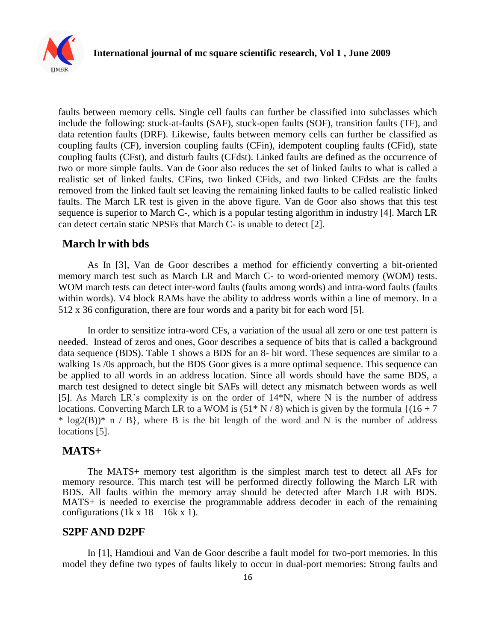

faults between memory cells. Single cell faults can further be classified into subclasses which include the following: stuck-at-faults (SAF), stuck-open faults (SOF), transition faults (TF), and data retention faults (DRF). Likewise, faults between memory cells can further be classified as coupling faults (CF), inversion coupling faults (CFin), idempotent coupling faults (CFid), state coupling faults (CFst), and disturb faults (CFdst). Linked faults are defined as the occurrence of two or more simple faults. Van de Goor also reduces the set of linked faults to what is called a realistic set of linked faults. CFins, two linked CFids, and two linked CFdsts are the faults removed from the linked fault set leaving the remaining linked faults to be called realistic linked faults. The March LR test is given in the above figure. Van de Goor also shows that this test sequence is superior to March C-, which is a popular testing algorithm in industry [4]. March LR can detect certain static NPSFs that March C- is unable to detect [2].

#### **March lr with bds**

As In [3], Van de Goor describes a method for efficiently converting a bit-oriented memory march test such as March LR and March C- to word-oriented memory (WOM) tests. WOM march tests can detect inter-word faults (faults among words) and intra-word faults (faults within words). V4 block RAMs have the ability to address words within a line of memory. In a 512 x 36 configuration, there are four words and a parity bit for each word [5].

In order to sensitize intra-word CFs, a variation of the usual all zero or one test pattern is needed. Instead of zeros and ones, Goor describes a sequence of bits that is called a background data sequence (BDS). Table 1 shows a BDS for an 8- bit word. These sequences are similar to a walking 1s /0s approach, but the BDS Goor gives is a more optimal sequence. This sequence can be applied to all words in an address location. Since all words should have the same BDS, a march test designed to detect single bit SAFs will detect any mismatch between words as well [5]. As March LR's complexity is on the order of 14\*N, where N is the number of address locations. Converting March LR to a WOM is  $(51 * N / 8)$  which is given by the formula  $\{(16 + 7)$  $* log2(B)* n / B$ , where B is the bit length of the word and N is the number of address locations [5].

#### **MATS+**

The MATS+ memory test algorithm is the simplest march test to detect all AFs for memory resource. This march test will be performed directly following the March LR with BDS. All faults within the memory array should be detected after March LR with BDS. MATS+ is needed to exercise the programmable address decoder in each of the remaining configurations (1k x  $18 - 16k \times 1$ ).

#### **S2PF AND D2PF**

In [1], Hamdioui and Van de Goor describe a fault model for two-port memories. In this model they define two types of faults likely to occur in dual-port memories: Strong faults and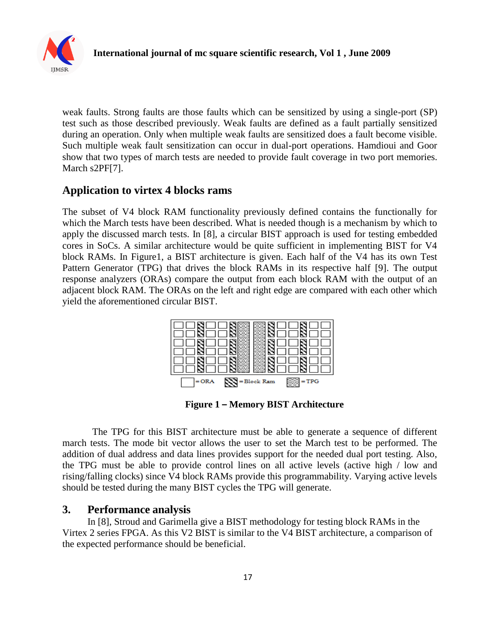

weak faults. Strong faults are those faults which can be sensitized by using a single-port (SP) test such as those described previously. Weak faults are defined as a fault partially sensitized during an operation. Only when multiple weak faults are sensitized does a fault become visible. Such multiple weak fault sensitization can occur in dual-port operations. Hamdioui and Goor show that two types of march tests are needed to provide fault coverage in two port memories. March s2PF[7].

## **Application to virtex 4 blocks rams**

The subset of V4 block RAM functionality previously defined contains the functionally for which the March tests have been described. What is needed though is a mechanism by which to apply the discussed march tests. In [8], a circular BIST approach is used for testing embedded cores in SoCs. A similar architecture would be quite sufficient in implementing BIST for V4 block RAMs. In Figure1, a BIST architecture is given. Each half of the V4 has its own Test Pattern Generator (TPG) that drives the block RAMs in its respective half [9]. The output response analyzers (ORAs) compare the output from each block RAM with the output of an adjacent block RAM. The ORAs on the left and right edge are compared with each other which yield the aforementioned circular BIST.



**Figure 1 – Memory BIST Architecture**

 The TPG for this BIST architecture must be able to generate a sequence of different march tests. The mode bit vector allows the user to set the March test to be performed. The addition of dual address and data lines provides support for the needed dual port testing. Also, the TPG must be able to provide control lines on all active levels (active high / low and rising/falling clocks) since V4 block RAMs provide this programmability. Varying active levels should be tested during the many BIST cycles the TPG will generate.

### **3. Performance analysis**

In [8], Stroud and Garimella give a BIST methodology for testing block RAMs in the Virtex 2 series FPGA. As this V2 BIST is similar to the V4 BIST architecture, a comparison of the expected performance should be beneficial.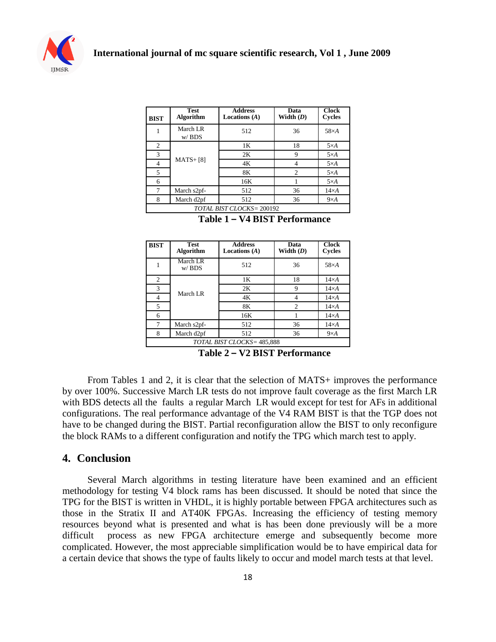

| <b>BIST</b>              | <b>Test</b><br><b>Algorithm</b> | <b>Address</b><br>Locations $(A)$ | Data<br>Width $(D)$ | <b>Clock</b><br>Cycles |  |  |
|--------------------------|---------------------------------|-----------------------------------|---------------------|------------------------|--|--|
|                          | March LR<br>$w/$ BDS            | 512                               | 36                  | $58\times A$           |  |  |
| $\overline{c}$           | $MATS + [8]$                    | 1 <sub>K</sub>                    | 18                  | $5\times A$            |  |  |
| 3                        |                                 | 2K                                | 9                   | $5\times A$            |  |  |
| 4                        |                                 | 4K                                | 4                   | $5\times A$            |  |  |
| $\overline{5}$           |                                 | 8K                                | $\mathfrak{D}$      | $5\times A$            |  |  |
| 6                        |                                 | 16K                               |                     | $5\times A$            |  |  |
| 7                        | March s2pf-                     | 512                               | 36                  | $14\times A$           |  |  |
| 8                        | March d2pf                      | 512                               | 36                  | $9\times A$            |  |  |
| TOTAL BIST CLOCKS=200192 |                                 |                                   |                     |                        |  |  |

|  |  | Table 1 – V4 BIST Performance |
|--|--|-------------------------------|
|--|--|-------------------------------|

| <b>BIST</b>                | <b>Test</b><br><b>Algorithm</b> | <b>Address</b><br>Locations $(A)$ | Data<br>Width $(D)$ | <b>Clock</b><br>Cycles |  |  |
|----------------------------|---------------------------------|-----------------------------------|---------------------|------------------------|--|--|
|                            | March LR<br>$w/$ BDS            | 512                               | 36                  | $58\times A$           |  |  |
| 2                          | March LR                        | 1K                                | 18                  | $14\times A$           |  |  |
| 3                          |                                 | 2K                                | 9                   | $14\times A$           |  |  |
| 4                          |                                 | 4K                                | 4                   | $14\times A$           |  |  |
| 5                          |                                 | 8K                                | $\mathfrak{D}$      | $14\times A$           |  |  |
| 6                          |                                 | 16K                               |                     | $14\times A$           |  |  |
| 7                          | March s2pf-                     | 512                               | 36                  | $14\times A$           |  |  |
| 8                          | March d2pf                      | 512                               | 36                  | $9\times A$            |  |  |
| TOTAL BIST CLOCKS= 485,888 |                                 |                                   |                     |                        |  |  |

**Table 2 – V2 BIST Performance**

From Tables 1 and 2, it is clear that the selection of MATS+ improves the performance by over 100%. Successive March LR tests do not improve fault coverage as the first March LR with BDS detects all the faults a regular March LR would except for test for AFs in additional configurations. The real performance advantage of the V4 RAM BIST is that the TGP does not have to be changed during the BIST. Partial reconfiguration allow the BIST to only reconfigure the block RAMs to a different configuration and notify the TPG which march test to apply.

#### **4. Conclusion**

Several March algorithms in testing literature have been examined and an efficient methodology for testing V4 block rams has been discussed. It should be noted that since the TPG for the BIST is written in VHDL, it is highly portable between FPGA architectures such as those in the Stratix II and AT40K FPGAs. Increasing the efficiency of testing memory resources beyond what is presented and what is has been done previously will be a more difficult process as new FPGA architecture emerge and subsequently become more complicated. However, the most appreciable simplification would be to have empirical data for a certain device that shows the type of faults likely to occur and model march tests at that level.